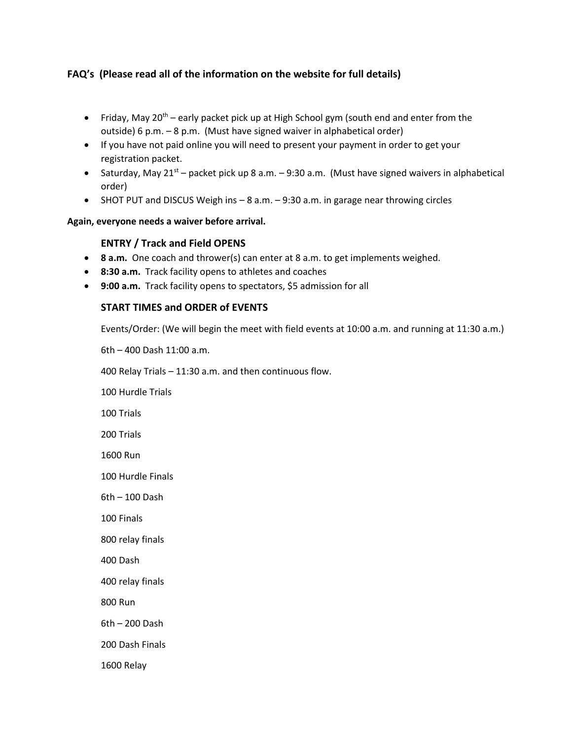# **FAQ's (Please read all of the information on the website for full details)**

- Friday, May 20<sup>th</sup> early packet pick up at High School gym (south end and enter from the outside) 6 p.m. – 8 p.m. (Must have signed waiver in alphabetical order)
- If you have not paid online you will need to present your payment in order to get your registration packet.
- Saturday, May 21<sup>st</sup> packet pick up 8 a.m. 9:30 a.m. (Must have signed waivers in alphabetical order)
- SHOT PUT and DISCUS Weigh ins 8 a.m. 9:30 a.m. in garage near throwing circles

### **Again, everyone needs a waiver before arrival.**

## **ENTRY / Track and Field OPENS**

- **8 a.m.** One coach and thrower(s) can enter at 8 a.m. to get implements weighed.
- **8:30 a.m.** Track facility opens to athletes and coaches
- **9:00 a.m.** Track facility opens to spectators, \$5 admission for all

## **START TIMES and ORDER of EVENTS**

Events/Order: (We will begin the meet with field events at 10:00 a.m. and running at 11:30 a.m.)

6th – 400 Dash 11:00 a.m.

400 Relay Trials – 11:30 a.m. and then continuous flow.

100 Hurdle Trials

100 Trials

200 Trials

1600 Run

100 Hurdle Finals

6th – 100 Dash

100 Finals

800 relay finals

400 Dash

400 relay finals

800 Run

6th – 200 Dash

200 Dash Finals

1600 Relay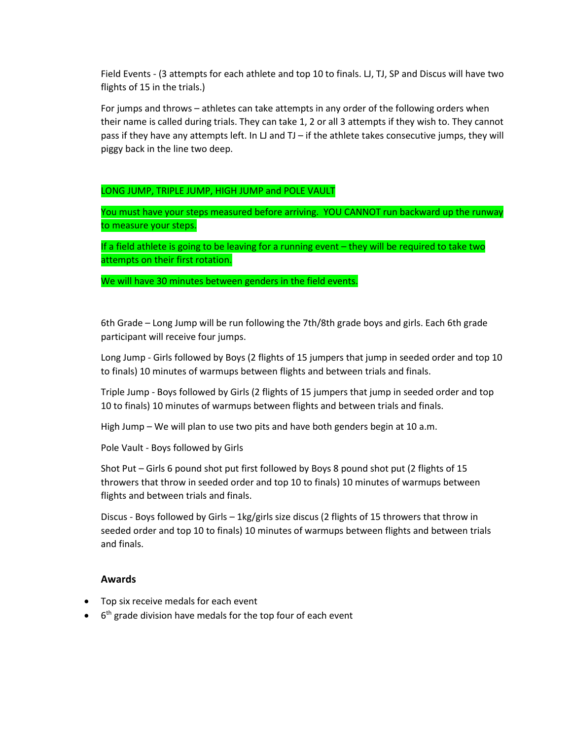Field Events - (3 attempts for each athlete and top 10 to finals. LJ, TJ, SP and Discus will have two flights of 15 in the trials.)

For jumps and throws – athletes can take attempts in any order of the following orders when their name is called during trials. They can take 1, 2 or all 3 attempts if they wish to. They cannot pass if they have any attempts left. In LJ and TJ – if the athlete takes consecutive jumps, they will piggy back in the line two deep.

LONG JUMP, TRIPLE JUMP, HIGH JUMP and POLE VAULT

You must have your steps measured before arriving. YOU CANNOT run backward up the runway to measure your steps.

If a field athlete is going to be leaving for a running event – they will be required to take two attempts on their first rotation.

We will have 30 minutes between genders in the field events.

6th Grade – Long Jump will be run following the 7th/8th grade boys and girls. Each 6th grade participant will receive four jumps.

Long Jump - Girls followed by Boys (2 flights of 15 jumpers that jump in seeded order and top 10 to finals) 10 minutes of warmups between flights and between trials and finals.

Triple Jump - Boys followed by Girls (2 flights of 15 jumpers that jump in seeded order and top 10 to finals) 10 minutes of warmups between flights and between trials and finals.

High Jump – We will plan to use two pits and have both genders begin at 10 a.m.

Pole Vault - Boys followed by Girls

Shot Put – Girls 6 pound shot put first followed by Boys 8 pound shot put (2 flights of 15 throwers that throw in seeded order and top 10 to finals) 10 minutes of warmups between flights and between trials and finals.

Discus - Boys followed by Girls – 1kg/girls size discus (2 flights of 15 throwers that throw in seeded order and top 10 to finals) 10 minutes of warmups between flights and between trials and finals.

#### **Awards**

- Top six receive medals for each event
- $\bullet$  6<sup>th</sup> grade division have medals for the top four of each event